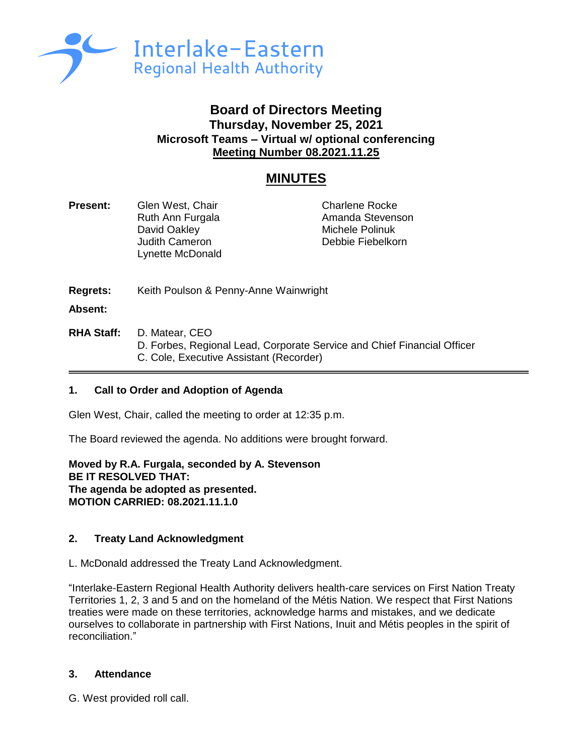

## **Board of Directors Meeting Thursday, November 25, 2021 Microsoft Teams – Virtual w/ optional conferencing Meeting Number 08.2021.11.25**

# **MINUTES**

**Present:** Glen West, Chair Charlene Rocke Ruth Ann Furgala **Amanda Stevenson** David Oakley **Michele Polinuk** Judith Cameron **Debbie Fiebelkorn** Lynette McDonald

**Regrets:** Keith Poulson & Penny-Anne Wainwright

**Absent:**

**RHA Staff:** D. Matear, CEO D. Forbes, Regional Lead, Corporate Service and Chief Financial Officer C. Cole, Executive Assistant (Recorder)

## **1. Call to Order and Adoption of Agenda**

Glen West, Chair, called the meeting to order at 12:35 p.m.

The Board reviewed the agenda. No additions were brought forward.

**Moved by R.A. Furgala, seconded by A. Stevenson BE IT RESOLVED THAT: The agenda be adopted as presented. MOTION CARRIED: 08.2021.11.1.0**

## **2. Treaty Land Acknowledgment**

L. McDonald addressed the Treaty Land Acknowledgment.

"Interlake-Eastern Regional Health Authority delivers health-care services on First Nation Treaty Territories 1, 2, 3 and 5 and on the homeland of the Métis Nation. We respect that First Nations treaties were made on these territories, acknowledge harms and mistakes, and we dedicate ourselves to collaborate in partnership with First Nations, Inuit and Métis peoples in the spirit of reconciliation."

## **3. Attendance**

G. West provided roll call.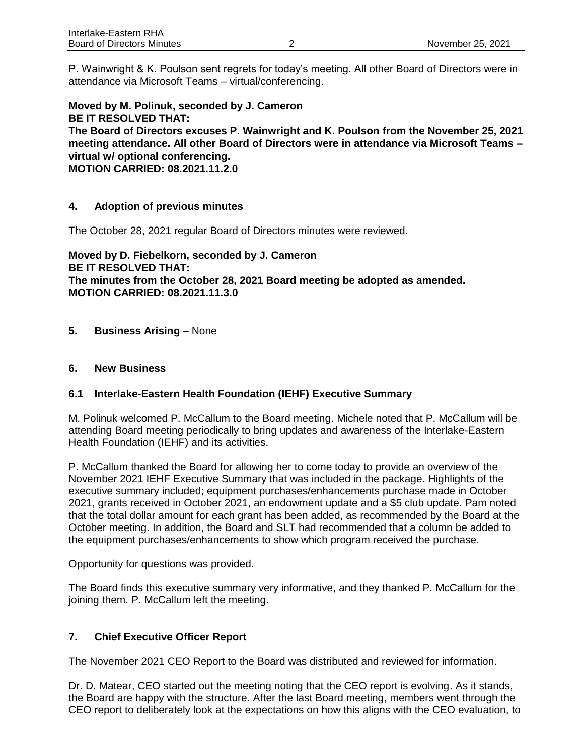P. Wainwright & K. Poulson sent regrets for today's meeting. All other Board of Directors were in attendance via Microsoft Teams – virtual/conferencing.

**Moved by M. Polinuk, seconded by J. Cameron BE IT RESOLVED THAT: The Board of Directors excuses P. Wainwright and K. Poulson from the November 25, 2021 meeting attendance. All other Board of Directors were in attendance via Microsoft Teams – virtual w/ optional conferencing. MOTION CARRIED: 08.2021.11.2.0**

## **4. Adoption of previous minutes**

The October 28, 2021 regular Board of Directors minutes were reviewed.

**Moved by D. Fiebelkorn, seconded by J. Cameron BE IT RESOLVED THAT: The minutes from the October 28, 2021 Board meeting be adopted as amended. MOTION CARRIED: 08.2021.11.3.0**

**5. Business Arising** – None

#### **6. New Business**

## **6.1 Interlake-Eastern Health Foundation (IEHF) Executive Summary**

M. Polinuk welcomed P. McCallum to the Board meeting. Michele noted that P. McCallum will be attending Board meeting periodically to bring updates and awareness of the Interlake-Eastern Health Foundation (IEHF) and its activities.

P. McCallum thanked the Board for allowing her to come today to provide an overview of the November 2021 IEHF Executive Summary that was included in the package. Highlights of the executive summary included; equipment purchases/enhancements purchase made in October 2021, grants received in October 2021, an endowment update and a \$5 club update. Pam noted that the total dollar amount for each grant has been added, as recommended by the Board at the October meeting. In addition, the Board and SLT had recommended that a column be added to the equipment purchases/enhancements to show which program received the purchase.

Opportunity for questions was provided.

The Board finds this executive summary very informative, and they thanked P. McCallum for the joining them. P. McCallum left the meeting.

## **7. Chief Executive Officer Report**

The November 2021 CEO Report to the Board was distributed and reviewed for information.

Dr. D. Matear, CEO started out the meeting noting that the CEO report is evolving. As it stands, the Board are happy with the structure. After the last Board meeting, members went through the CEO report to deliberately look at the expectations on how this aligns with the CEO evaluation, to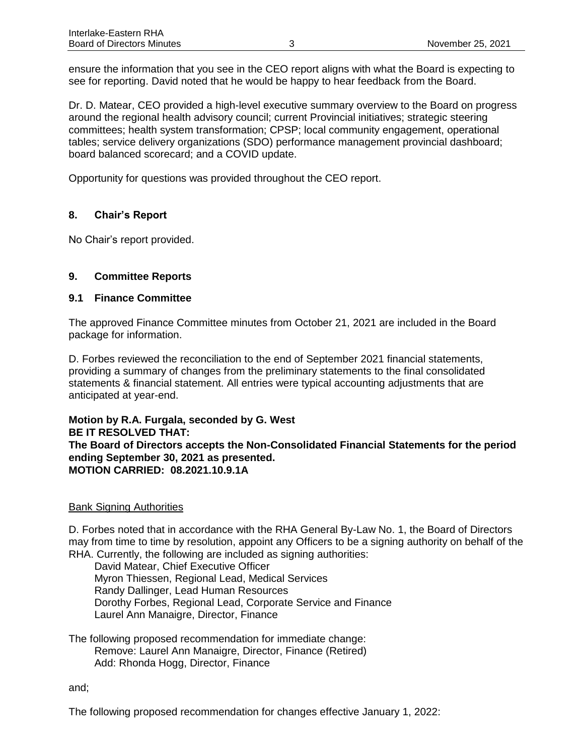ensure the information that you see in the CEO report aligns with what the Board is expecting to see for reporting. David noted that he would be happy to hear feedback from the Board.

Dr. D. Matear, CEO provided a high-level executive summary overview to the Board on progress around the regional health advisory council; current Provincial initiatives; strategic steering committees; health system transformation; CPSP; local community engagement, operational tables; service delivery organizations (SDO) performance management provincial dashboard; board balanced scorecard; and a COVID update.

Opportunity for questions was provided throughout the CEO report.

## **8. Chair's Report**

No Chair's report provided.

## **9. Committee Reports**

## **9.1 Finance Committee**

The approved Finance Committee minutes from October 21, 2021 are included in the Board package for information.

D. Forbes reviewed the reconciliation to the end of September 2021 financial statements, providing a summary of changes from the preliminary statements to the final consolidated statements & financial statement. All entries were typical accounting adjustments that are anticipated at year-end.

#### **Motion by R.A. Furgala, seconded by G. West BE IT RESOLVED THAT: The Board of Directors accepts the Non-Consolidated Financial Statements for the period ending September 30, 2021 as presented. MOTION CARRIED: 08.2021.10.9.1A**

## Bank Signing Authorities

D. Forbes noted that in accordance with the RHA General By-Law No. 1, the Board of Directors may from time to time by resolution, appoint any Officers to be a signing authority on behalf of the RHA. Currently, the following are included as signing authorities:

David Matear, Chief Executive Officer Myron Thiessen, Regional Lead, Medical Services Randy Dallinger, Lead Human Resources Dorothy Forbes, Regional Lead, Corporate Service and Finance Laurel Ann Manaigre, Director, Finance

The following proposed recommendation for immediate change: Remove: Laurel Ann Manaigre, Director, Finance (Retired) Add: Rhonda Hogg, Director, Finance

and;

The following proposed recommendation for changes effective January 1, 2022: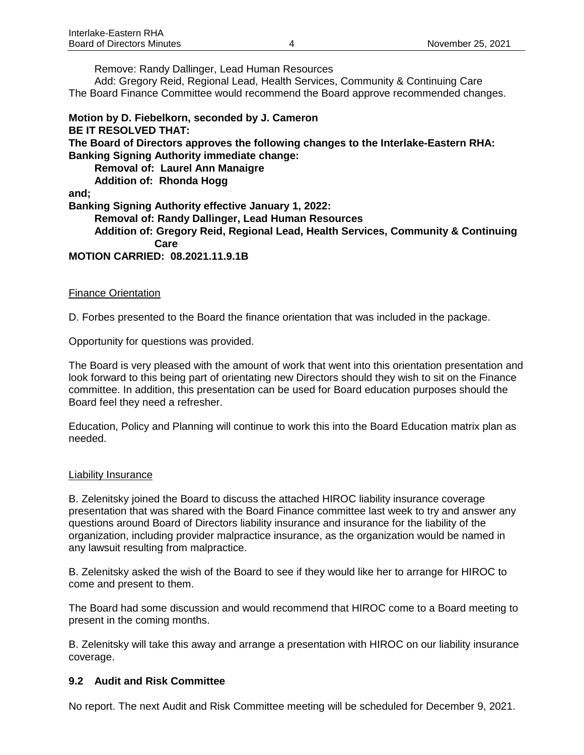Remove: Randy Dallinger, Lead Human Resources

Add: Gregory Reid, Regional Lead, Health Services, Community & Continuing Care The Board Finance Committee would recommend the Board approve recommended changes.

**Motion by D. Fiebelkorn, seconded by J. Cameron BE IT RESOLVED THAT: The Board of Directors approves the following changes to the Interlake-Eastern RHA: Banking Signing Authority immediate change: Removal of: Laurel Ann Manaigre Addition of: Rhonda Hogg and; Banking Signing Authority effective January 1, 2022: Removal of: Randy Dallinger, Lead Human Resources Addition of: Gregory Reid, Regional Lead, Health Services, Community & Continuing Care MOTION CARRIED: 08.2021.11.9.1B**

#### **Finance Orientation**

D. Forbes presented to the Board the finance orientation that was included in the package.

Opportunity for questions was provided.

The Board is very pleased with the amount of work that went into this orientation presentation and look forward to this being part of orientating new Directors should they wish to sit on the Finance committee. In addition, this presentation can be used for Board education purposes should the Board feel they need a refresher.

Education, Policy and Planning will continue to work this into the Board Education matrix plan as needed.

#### Liability Insurance

B. Zelenitsky joined the Board to discuss the attached HIROC liability insurance coverage presentation that was shared with the Board Finance committee last week to try and answer any questions around Board of Directors liability insurance and insurance for the liability of the organization, including provider malpractice insurance, as the organization would be named in any lawsuit resulting from malpractice.

B. Zelenitsky asked the wish of the Board to see if they would like her to arrange for HIROC to come and present to them.

The Board had some discussion and would recommend that HIROC come to a Board meeting to present in the coming months.

B. Zelenitsky will take this away and arrange a presentation with HIROC on our liability insurance coverage.

## **9.2 Audit and Risk Committee**

No report. The next Audit and Risk Committee meeting will be scheduled for December 9, 2021.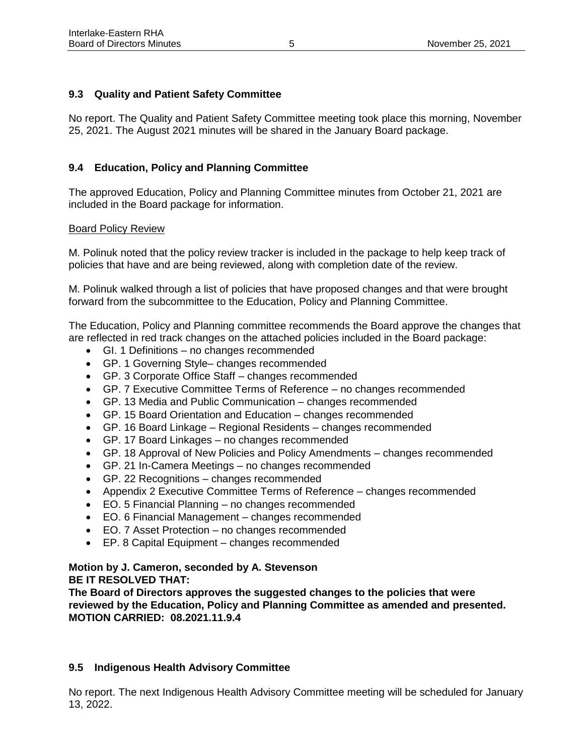## **9.3 Quality and Patient Safety Committee**

No report. The Quality and Patient Safety Committee meeting took place this morning, November 25, 2021. The August 2021 minutes will be shared in the January Board package.

## **9.4 Education, Policy and Planning Committee**

The approved Education, Policy and Planning Committee minutes from October 21, 2021 are included in the Board package for information.

#### Board Policy Review

M. Polinuk noted that the policy review tracker is included in the package to help keep track of policies that have and are being reviewed, along with completion date of the review.

M. Polinuk walked through a list of policies that have proposed changes and that were brought forward from the subcommittee to the Education, Policy and Planning Committee.

The Education, Policy and Planning committee recommends the Board approve the changes that are reflected in red track changes on the attached policies included in the Board package:

- GI. 1 Definitions no changes recommended
- GP. 1 Governing Style– changes recommended
- GP. 3 Corporate Office Staff changes recommended
- GP. 7 Executive Committee Terms of Reference no changes recommended
- GP. 13 Media and Public Communication changes recommended
- GP. 15 Board Orientation and Education changes recommended
- GP. 16 Board Linkage Regional Residents changes recommended
- GP. 17 Board Linkages no changes recommended
- GP. 18 Approval of New Policies and Policy Amendments changes recommended
- GP. 21 In-Camera Meetings no changes recommended
- GP. 22 Recognitions changes recommended
- Appendix 2 Executive Committee Terms of Reference changes recommended
- EO. 5 Financial Planning no changes recommended
- EO. 6 Financial Management changes recommended
- EO. 7 Asset Protection no changes recommended
- EP. 8 Capital Equipment changes recommended

## **Motion by J. Cameron, seconded by A. Stevenson BE IT RESOLVED THAT:**

**The Board of Directors approves the suggested changes to the policies that were reviewed by the Education, Policy and Planning Committee as amended and presented. MOTION CARRIED: 08.2021.11.9.4**

## **9.5 Indigenous Health Advisory Committee**

No report. The next Indigenous Health Advisory Committee meeting will be scheduled for January 13, 2022.